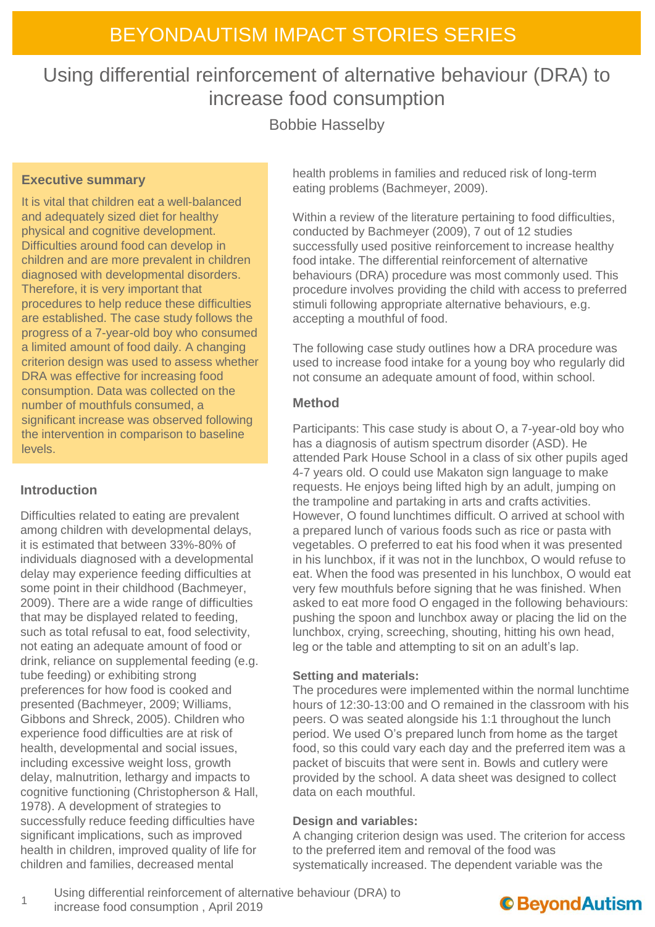# Using differential reinforcement of alternative behaviour (DRA) to increase food consumption

Bobbie Hasselby

### **Executive summary**

It is vital that children eat a well-balanced and adequately sized diet for healthy physical and cognitive development. Difficulties around food can develop in children and are more prevalent in children diagnosed with developmental disorders. Therefore, it is very important that procedures to help reduce these difficulties are established. The case study follows the progress of a 7-year-old boy who consumed a limited amount of food daily. A changing criterion design was used to assess whether DRA was effective for increasing food consumption. Data was collected on the number of mouthfuls consumed, a significant increase was observed following the intervention in comparison to baseline levels.

### **Introduction**

Difficulties related to eating are prevalent among children with developmental delays, it is estimated that between 33%-80% of individuals diagnosed with a developmental delay may experience feeding difficulties at some point in their childhood (Bachmeyer, 2009). There are a wide range of difficulties that may be displayed related to feeding, such as total refusal to eat, food selectivity, not eating an adequate amount of food or drink, reliance on supplemental feeding (e.g. tube feeding) or exhibiting strong preferences for how food is cooked and presented (Bachmeyer, 2009; Williams, Gibbons and Shreck, 2005). Children who experience food difficulties are at risk of health, developmental and social issues, including excessive weight loss, growth delay, malnutrition, lethargy and impacts to cognitive functioning (Christopherson & Hall, 1978). A development of strategies to successfully reduce feeding difficulties have significant implications, such as improved health in children, improved quality of life for children and families, decreased mental

health problems in families and reduced risk of long-term eating problems (Bachmeyer, 2009).

Within a review of the literature pertaining to food difficulties, conducted by Bachmeyer (2009), 7 out of 12 studies successfully used positive reinforcement to increase healthy food intake. The differential reinforcement of alternative behaviours (DRA) procedure was most commonly used. This procedure involves providing the child with access to preferred stimuli following appropriate alternative behaviours, e.g. accepting a mouthful of food.

The following case study outlines how a DRA procedure was used to increase food intake for a young boy who regularly did not consume an adequate amount of food, within school.

### **Method**

Participants: This case study is about O, a 7-year-old boy who has a diagnosis of autism spectrum disorder (ASD). He attended Park House School in a class of six other pupils aged 4-7 years old. O could use Makaton sign language to make requests. He enjoys being lifted high by an adult, jumping on the trampoline and partaking in arts and crafts activities. However, O found lunchtimes difficult. O arrived at school with a prepared lunch of various foods such as rice or pasta with vegetables. O preferred to eat his food when it was presented in his lunchbox, if it was not in the lunchbox, O would refuse to eat. When the food was presented in his lunchbox, O would eat very few mouthfuls before signing that he was finished. When asked to eat more food O engaged in the following behaviours: pushing the spoon and lunchbox away or placing the lid on the lunchbox, crying, screeching, shouting, hitting his own head, leg or the table and attempting to sit on an adult's lap.

#### **Setting and materials:**

The procedures were implemented within the normal lunchtime hours of 12:30-13:00 and O remained in the classroom with his peers. O was seated alongside his 1:1 throughout the lunch period. We used O's prepared lunch from home as the target food, so this could vary each day and the preferred item was a packet of biscuits that were sent in. Bowls and cutlery were provided by the school. A data sheet was designed to collect data on each mouthful.

#### **Design and variables:**

A changing criterion design was used. The criterion for access to the preferred item and removal of the food was systematically increased. The dependent variable was the

1 Using differential reinforcement of alternative behaviour (DRA) to increase food consumption , April 2019

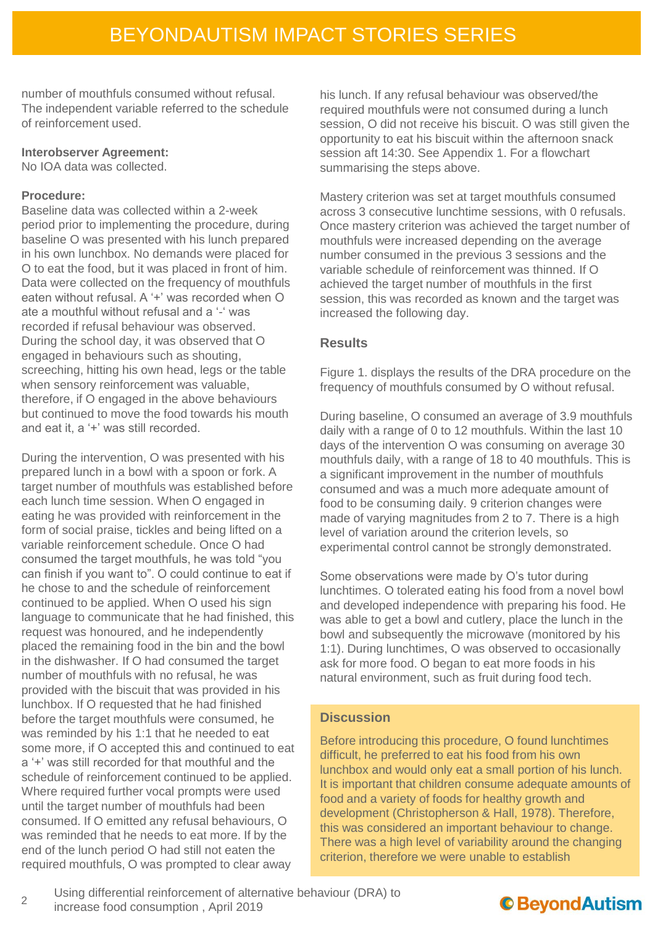number of mouthfuls consumed without refusal. The independent variable referred to the schedule of reinforcement used.

#### **Interobserver Agreement:**

No IOA data was collected.

#### **Procedure:**

Baseline data was collected within a 2-week period prior to implementing the procedure, during baseline O was presented with his lunch prepared in his own lunchbox. No demands were placed for O to eat the food, but it was placed in front of him. Data were collected on the frequency of mouthfuls eaten without refusal. A '+' was recorded when O ate a mouthful without refusal and a '-' was recorded if refusal behaviour was observed. During the school day, it was observed that O engaged in behaviours such as shouting, screeching, hitting his own head, legs or the table when sensory reinforcement was valuable, therefore, if O engaged in the above behaviours but continued to move the food towards his mouth and eat it, a '+' was still recorded.

During the intervention, O was presented with his prepared lunch in a bowl with a spoon or fork. A target number of mouthfuls was established before each lunch time session. When O engaged in eating he was provided with reinforcement in the form of social praise, tickles and being lifted on a variable reinforcement schedule. Once O had consumed the target mouthfuls, he was told "you can finish if you want to". O could continue to eat if he chose to and the schedule of reinforcement continued to be applied. When O used his sign language to communicate that he had finished, this request was honoured, and he independently placed the remaining food in the bin and the bowl in the dishwasher. If O had consumed the target number of mouthfuls with no refusal, he was provided with the biscuit that was provided in his lunchbox. If O requested that he had finished before the target mouthfuls were consumed, he was reminded by his 1:1 that he needed to eat some more, if O accepted this and continued to eat a '+' was still recorded for that mouthful and the schedule of reinforcement continued to be applied. Where required further vocal prompts were used until the target number of mouthfuls had been consumed. If O emitted any refusal behaviours, O was reminded that he needs to eat more. If by the end of the lunch period O had still not eaten the required mouthfuls, O was prompted to clear away

his lunch. If any refusal behaviour was observed/the required mouthfuls were not consumed during a lunch session, O did not receive his biscuit. O was still given the opportunity to eat his biscuit within the afternoon snack session aft 14:30. See Appendix 1. For a flowchart summarising the steps above.

Mastery criterion was set at target mouthfuls consumed across 3 consecutive lunchtime sessions, with 0 refusals. Once mastery criterion was achieved the target number of mouthfuls were increased depending on the average number consumed in the previous 3 sessions and the variable schedule of reinforcement was thinned. If O achieved the target number of mouthfuls in the first session, this was recorded as known and the target was increased the following day.

#### **Results**

Figure 1. displays the results of the DRA procedure on the frequency of mouthfuls consumed by O without refusal.

During baseline, O consumed an average of 3.9 mouthfuls daily with a range of 0 to 12 mouthfuls. Within the last 10 days of the intervention O was consuming on average 30 mouthfuls daily, with a range of 18 to 40 mouthfuls. This is a significant improvement in the number of mouthfuls consumed and was a much more adequate amount of food to be consuming daily. 9 criterion changes were made of varying magnitudes from 2 to 7. There is a high level of variation around the criterion levels, so experimental control cannot be strongly demonstrated.

Some observations were made by O's tutor during lunchtimes. O tolerated eating his food from a novel bowl and developed independence with preparing his food. He was able to get a bowl and cutlery, place the lunch in the bowl and subsequently the microwave (monitored by his 1:1). During lunchtimes, O was observed to occasionally ask for more food. O began to eat more foods in his natural environment, such as fruit during food tech.

#### **Discussion**

Before introducing this procedure, O found lunchtimes difficult, he preferred to eat his food from his own lunchbox and would only eat a small portion of his lunch. It is important that children consume adequate amounts of food and a variety of foods for healthy growth and development (Christopherson & Hall, 1978). Therefore, this was considered an important behaviour to change. There was a high level of variability around the changing criterion, therefore we were unable to establish

 $\mathcal{L}$ Using differential reinforcement of alternative behaviour (DRA) to increase food consumption , April 2019